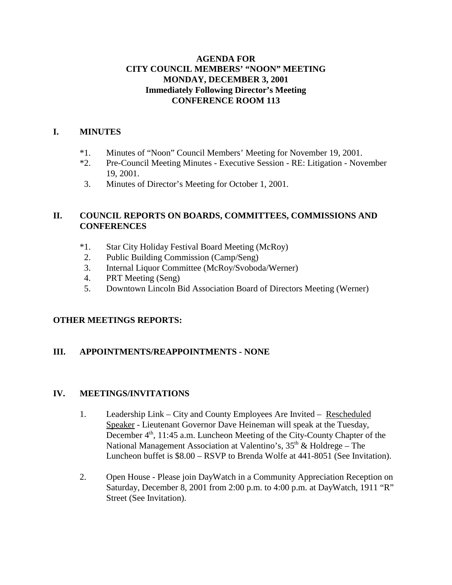### **AGENDA FOR CITY COUNCIL MEMBERS' "NOON" MEETING MONDAY, DECEMBER 3, 2001 Immediately Following Director's Meeting CONFERENCE ROOM 113**

### **I. MINUTES**

- \*1. Minutes of "Noon" Council Members' Meeting for November 19, 2001.
- \*2. Pre-Council Meeting Minutes Executive Session RE: Litigation November 19, 2001.
- 3. Minutes of Director's Meeting for October 1, 2001.

## **II. COUNCIL REPORTS ON BOARDS, COMMITTEES, COMMISSIONS AND CONFERENCES**

- \*1. Star City Holiday Festival Board Meeting (McRoy)
- 2. Public Building Commission (Camp/Seng)
- 3. Internal Liquor Committee (McRoy/Svoboda/Werner)
- 4. PRT Meeting (Seng)
- 5. Downtown Lincoln Bid Association Board of Directors Meeting (Werner)

# **OTHER MEETINGS REPORTS:**

# **III. APPOINTMENTS/REAPPOINTMENTS - NONE**

### **IV. MEETINGS/INVITATIONS**

- 1. Leadership Link City and County Employees Are Invited Rescheduled Speaker - Lieutenant Governor Dave Heineman will speak at the Tuesday, December 4<sup>th</sup>, 11:45 a.m. Luncheon Meeting of the City-County Chapter of the National Management Association at Valentino's,  $35<sup>th</sup>$  & Holdrege – The Luncheon buffet is \$8.00 – RSVP to Brenda Wolfe at 441-8051 (See Invitation).
- 2. Open House Please join DayWatch in a Community Appreciation Reception on Saturday, December 8, 2001 from 2:00 p.m. to 4:00 p.m. at DayWatch, 1911 "R" Street (See Invitation).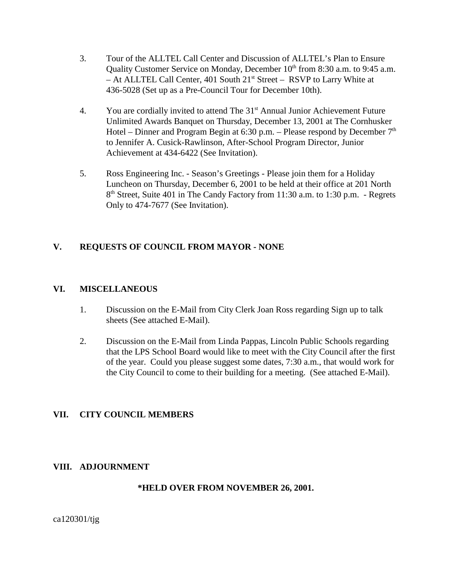- 3. Tour of the ALLTEL Call Center and Discussion of ALLTEL's Plan to Ensure Quality Customer Service on Monday, December 10<sup>th</sup> from 8:30 a.m. to 9:45 a.m. – At ALLTEL Call Center, 401 South 21<sup>st</sup> Street – RSVP to Larry White at 436-5028 (Set up as a Pre-Council Tour for December 10th).
- 4. You are cordially invited to attend The 31<sup>st</sup> Annual Junior Achievement Future Unlimited Awards Banquet on Thursday, December 13, 2001 at The Cornhusker Hotel – Dinner and Program Begin at 6:30 p.m. – Please respond by December  $7<sup>th</sup>$ to Jennifer A. Cusick-Rawlinson, After-School Program Director, Junior Achievement at 434-6422 (See Invitation).
- 5. Ross Engineering Inc. Season's Greetings Please join them for a Holiday Luncheon on Thursday, December 6, 2001 to be held at their office at 201 North 8<sup>th</sup> Street, Suite 401 in The Candy Factory from 11:30 a.m. to 1:30 p.m. - Regrets Only to 474-7677 (See Invitation).

# **V. REQUESTS OF COUNCIL FROM MAYOR - NONE**

#### **VI. MISCELLANEOUS**

- 1. Discussion on the E-Mail from City Clerk Joan Ross regarding Sign up to talk sheets (See attached E-Mail).
- 2. Discussion on the E-Mail from Linda Pappas, Lincoln Public Schools regarding that the LPS School Board would like to meet with the City Council after the first of the year. Could you please suggest some dates, 7:30 a.m., that would work for the City Council to come to their building for a meeting. (See attached E-Mail).

### **VII. CITY COUNCIL MEMBERS**

#### **VIII. ADJOURNMENT**

### **\*HELD OVER FROM NOVEMBER 26, 2001.**

ca120301/tjg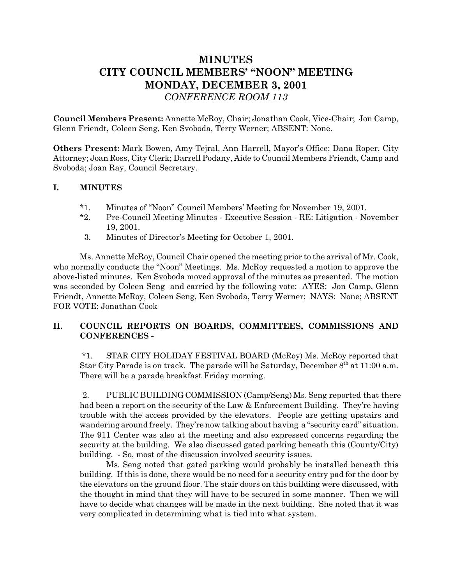# **MINUTES CITY COUNCIL MEMBERS' "NOON" MEETING MONDAY, DECEMBER 3, 2001** *CONFERENCE ROOM 113*

**Council Members Present:** Annette McRoy, Chair; Jonathan Cook, Vice-Chair; Jon Camp, Glenn Friendt, Coleen Seng, Ken Svoboda, Terry Werner; ABSENT: None.

**Others Present:** Mark Bowen, Amy Tejral, Ann Harrell, Mayor's Office; Dana Roper, City Attorney; Joan Ross, City Clerk; Darrell Podany, Aide to Council Members Friendt, Camp and Svoboda; Joan Ray, Council Secretary.

#### **I. MINUTES**

- \*1. Minutes of "Noon" Council Members' Meeting for November 19, 2001.
- \*2. Pre-Council Meeting Minutes Executive Session RE: Litigation November 19, 2001.
- 3. Minutes of Director's Meeting for October 1, 2001.

Ms. Annette McRoy, Council Chair opened the meeting prior to the arrival of Mr. Cook, who normally conducts the "Noon" Meetings. Ms. McRoy requested a motion to approve the above-listed minutes. Ken Svoboda moved approval of the minutes as presented. The motion was seconded by Coleen Seng and carried by the following vote: AYES: Jon Camp, Glenn Friendt, Annette McRoy, Coleen Seng, Ken Svoboda, Terry Werner; NAYS: None; ABSENT FOR VOTE: Jonathan Cook

#### **II. COUNCIL REPORTS ON BOARDS, COMMITTEES, COMMISSIONS AND CONFERENCES -**

 \*1. STAR CITY HOLIDAY FESTIVAL BOARD (McRoy) Ms. McRoy reported that Star City Parade is on track. The parade will be Saturday, December  $8^{th}$  at 11:00 a.m. There will be a parade breakfast Friday morning.

 2. PUBLIC BUILDING COMMISSION (Camp/Seng) Ms. Seng reported that there had been a report on the security of the Law & Enforcement Building. They're having trouble with the access provided by the elevators. People are getting upstairs and wandering around freely. They're now talking about having a "security card" situation. The 911 Center was also at the meeting and also expressed concerns regarding the security at the building. We also discussed gated parking beneath this (County/City) building. - So, most of the discussion involved security issues.

Ms. Seng noted that gated parking would probably be installed beneath this building. If this is done, there would be no need for a security entry pad for the door by the elevators on the ground floor. The stair doors on this building were discussed, with the thought in mind that they will have to be secured in some manner. Then we will have to decide what changes will be made in the next building. She noted that it was very complicated in determining what is tied into what system.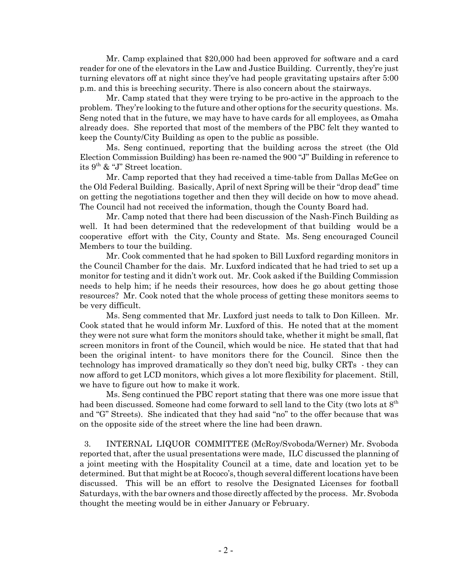Mr. Camp explained that \$20,000 had been approved for software and a card reader for one of the elevators in the Law and Justice Building. Currently, they're just turning elevators off at night since they've had people gravitating upstairs after 5:00 p.m. and this is breeching security. There is also concern about the stairways.

Mr. Camp stated that they were trying to be pro-active in the approach to the problem. They're looking to the future and other options for the security questions. Ms. Seng noted that in the future, we may have to have cards for all employees, as Omaha already does. She reported that most of the members of the PBC felt they wanted to keep the County/City Building as open to the public as possible.

Ms. Seng continued, reporting that the building across the street (the Old Election Commission Building) has been re-named the 900 "J" Building in reference to its  $9<sup>th</sup>$  & "J" Street location.

Mr. Camp reported that they had received a time-table from Dallas McGee on the Old Federal Building. Basically, April of next Spring will be their "drop dead" time on getting the negotiations together and then they will decide on how to move ahead. The Council had not received the information, though the County Board had.

Mr. Camp noted that there had been discussion of the Nash-Finch Building as well. It had been determined that the redevelopment of that building would be a cooperative effort with the City, County and State. Ms. Seng encouraged Council Members to tour the building.

Mr. Cook commented that he had spoken to Bill Luxford regarding monitors in the Council Chamber for the dais. Mr. Luxford indicated that he had tried to set up a monitor for testing and it didn't work out. Mr. Cook asked if the Building Commission needs to help him; if he needs their resources, how does he go about getting those resources? Mr. Cook noted that the whole process of getting these monitors seems to be very difficult.

Ms. Seng commented that Mr. Luxford just needs to talk to Don Killeen. Mr. Cook stated that he would inform Mr. Luxford of this. He noted that at the moment they were not sure what form the monitors should take, whether it might be small, flat screen monitors in front of the Council, which would be nice. He stated that that had been the original intent- to have monitors there for the Council. Since then the technology has improved dramatically so they don't need big, bulky CRTs - they can now afford to get LCD monitors, which gives a lot more flexibility for placement. Still, we have to figure out how to make it work.

Ms. Seng continued the PBC report stating that there was one more issue that had been discussed. Someone had come forward to sell land to the City (two lots at 8<sup>th</sup>) and "G" Streets). She indicated that they had said "no" to the offer because that was on the opposite side of the street where the line had been drawn.

 3. INTERNAL LIQUOR COMMITTEE (McRoy/Svoboda/Werner) Mr. Svoboda reported that, after the usual presentations were made, ILC discussed the planning of a joint meeting with the Hospitality Council at a time, date and location yet to be determined. But that might be at Rococo's, though several different locations have been discussed. This will be an effort to resolve the Designated Licenses for football Saturdays, with the bar owners and those directly affected by the process. Mr. Svoboda thought the meeting would be in either January or February.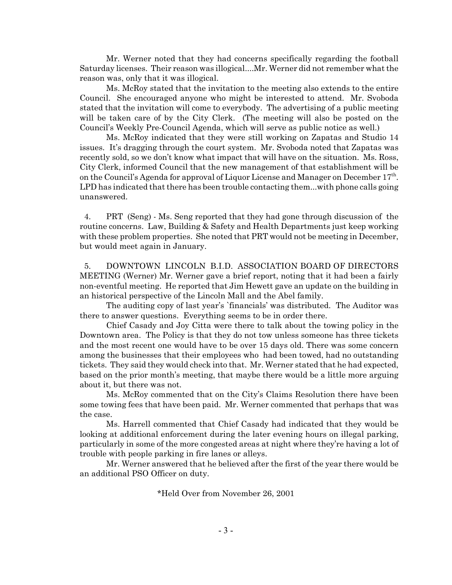Mr. Werner noted that they had concerns specifically regarding the football Saturday licenses. Their reason was illogical....Mr. Werner did not remember what the reason was, only that it was illogical.

Ms. McRoy stated that the invitation to the meeting also extends to the entire Council. She encouraged anyone who might be interested to attend. Mr. Svoboda stated that the invitation will come to everybody. The advertising of a public meeting will be taken care of by the City Clerk. (The meeting will also be posted on the Council's Weekly Pre-Council Agenda, which will serve as public notice as well.)

Ms. McRoy indicated that they were still working on Zapatas and Studio 14 issues. It's dragging through the court system. Mr. Svoboda noted that Zapatas was recently sold, so we don't know what impact that will have on the situation. Ms. Ross, City Clerk, informed Council that the new management of that establishment will be on the Council's Agenda for approval of Liquor License and Manager on December  $17<sup>th</sup>$ . LPD has indicated that there has been trouble contacting them...with phone calls going unanswered.

 4. PRT (Seng) - Ms. Seng reported that they had gone through discussion of the routine concerns. Law, Building & Safety and Health Departments just keep working with these problem properties. She noted that PRT would not be meeting in December, but would meet again in January.

 5. DOWNTOWN LINCOLN B.I.D. ASSOCIATION BOARD OF DIRECTORS MEETING (Werner) Mr. Werner gave a brief report, noting that it had been a fairly non-eventful meeting. He reported that Jim Hewett gave an update on the building in an historical perspective of the Lincoln Mall and the Abel family.

The auditing copy of last year's `financials' was distributed. The Auditor was there to answer questions. Everything seems to be in order there.

Chief Casady and Joy Citta were there to talk about the towing policy in the Downtown area. The Policy is that they do not tow unless someone has three tickets and the most recent one would have to be over 15 days old. There was some concern among the businesses that their employees who had been towed, had no outstanding tickets. They said they would check into that. Mr. Werner stated that he had expected, based on the prior month's meeting, that maybe there would be a little more arguing about it, but there was not.

Ms. McRoy commented that on the City's Claims Resolution there have been some towing fees that have been paid. Mr. Werner commented that perhaps that was the case.

Ms. Harrell commented that Chief Casady had indicated that they would be looking at additional enforcement during the later evening hours on illegal parking, particularly in some of the more congested areas at night where they're having a lot of trouble with people parking in fire lanes or alleys.

Mr. Werner answered that he believed after the first of the year there would be an additional PSO Officer on duty.

\*Held Over from November 26, 2001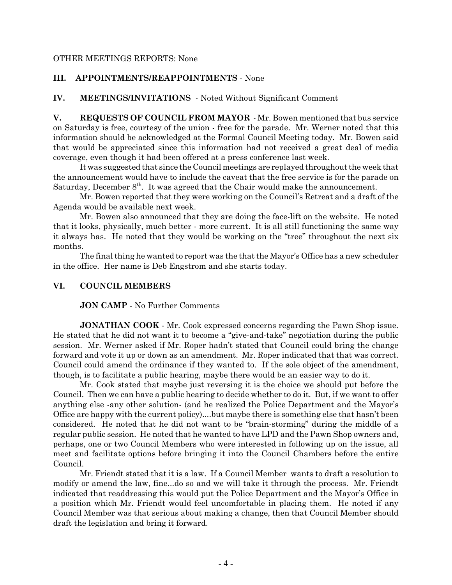#### OTHER MEETINGS REPORTS: None

#### **III. APPOINTMENTS/REAPPOINTMENTS** - None

**IV. MEETINGS/INVITATIONS** - Noted Without Significant Comment

**V. REQUESTS OF COUNCIL FROM MAYOR** - Mr. Bowen mentioned that bus service on Saturday is free, courtesy of the union - free for the parade. Mr. Werner noted that this information should be acknowledged at the Formal Council Meeting today. Mr. Bowen said that would be appreciated since this information had not received a great deal of media coverage, even though it had been offered at a press conference last week.

It was suggested that since the Council meetings are replayed throughout the week that the announcement would have to include the caveat that the free service is for the parade on Saturday, December  $8<sup>th</sup>$ . It was agreed that the Chair would make the announcement.

Mr. Bowen reported that they were working on the Council's Retreat and a draft of the Agenda would be available next week.

Mr. Bowen also announced that they are doing the face-lift on the website. He noted that it looks, physically, much better - more current. It is all still functioning the same way it always has. He noted that they would be working on the "tree" throughout the next six months.

The final thing he wanted to report was the that the Mayor's Office has a new scheduler in the office. Her name is Deb Engstrom and she starts today.

#### **VI. COUNCIL MEMBERS**

**JON CAMP** - No Further Comments

**JONATHAN COOK** - Mr. Cook expressed concerns regarding the Pawn Shop issue. He stated that he did not want it to become a "give-and-take" negotiation during the public session. Mr. Werner asked if Mr. Roper hadn't stated that Council could bring the change forward and vote it up or down as an amendment. Mr. Roper indicated that that was correct. Council could amend the ordinance if they wanted to. If the sole object of the amendment, though, is to facilitate a public hearing, maybe there would be an easier way to do it.

Mr. Cook stated that maybe just reversing it is the choice we should put before the Council. Then we can have a public hearing to decide whether to do it. But, if we want to offer anything else -any other solution- (and he realized the Police Department and the Mayor's Office are happy with the current policy)....but maybe there is something else that hasn't been considered. He noted that he did not want to be "brain-storming" during the middle of a regular public session. He noted that he wanted to have LPD and the Pawn Shop owners and, perhaps, one or two Council Members who were interested in following up on the issue, all meet and facilitate options before bringing it into the Council Chambers before the entire Council.

Mr. Friendt stated that it is a law. If a Council Member wants to draft a resolution to modify or amend the law, fine...do so and we will take it through the process. Mr. Friendt indicated that readdressing this would put the Police Department and the Mayor's Office in a position which Mr. Friendt would feel uncomfortable in placing them. He noted if any Council Member was that serious about making a change, then that Council Member should draft the legislation and bring it forward.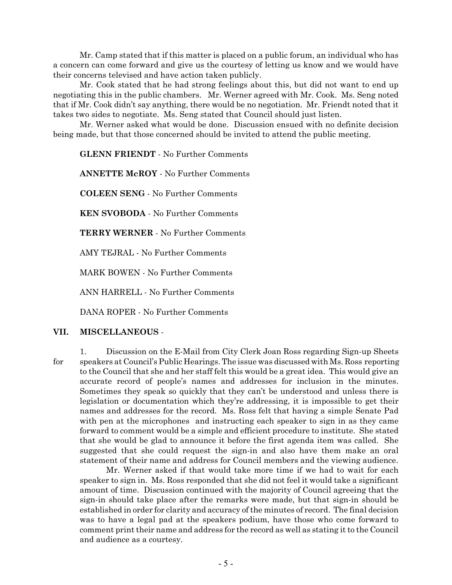Mr. Camp stated that if this matter is placed on a public forum, an individual who has a concern can come forward and give us the courtesy of letting us know and we would have their concerns televised and have action taken publicly.

Mr. Cook stated that he had strong feelings about this, but did not want to end up negotiating this in the public chambers. Mr. Werner agreed with Mr. Cook. Ms. Seng noted that if Mr. Cook didn't say anything, there would be no negotiation. Mr. Friendt noted that it takes two sides to negotiate. Ms. Seng stated that Council should just listen.

Mr. Werner asked what would be done. Discussion ensued with no definite decision being made, but that those concerned should be invited to attend the public meeting.

**GLENN FRIENDT** - No Further Comments

**ANNETTE McROY** - No Further Comments

**COLEEN SENG** - No Further Comments

**KEN SVOBODA** - No Further Comments

**TERRY WERNER** - No Further Comments

AMY TEJRAL - No Further Comments

MARK BOWEN - No Further Comments

ANN HARRELL - No Further Comments

DANA ROPER - No Further Comments

#### **VII. MISCELLANEOUS** -

1. Discussion on the E-Mail from City Clerk Joan Ross regarding Sign-up Sheets for speakers at Council's Public Hearings. The issue was discussed with Ms. Ross reporting to the Council that she and her staff felt this would be a great idea. This would give an accurate record of people's names and addresses for inclusion in the minutes. Sometimes they speak so quickly that they can't be understood and unless there is legislation or documentation which they're addressing, it is impossible to get their names and addresses for the record. Ms. Ross felt that having a simple Senate Pad with pen at the microphones and instructing each speaker to sign in as they came forward to comment would be a simple and efficient procedure to institute. She stated that she would be glad to announce it before the first agenda item was called. She suggested that she could request the sign-in and also have them make an oral statement of their name and address for Council members and the viewing audience.

Mr. Werner asked if that would take more time if we had to wait for each speaker to sign in. Ms. Ross responded that she did not feel it would take a significant amount of time. Discussion continued with the majority of Council agreeing that the sign-in should take place after the remarks were made, but that sign-in should be established in order for clarity and accuracy of the minutes of record. The final decision was to have a legal pad at the speakers podium, have those who come forward to comment print their name and address for the record as well as stating it to the Council and audience as a courtesy.